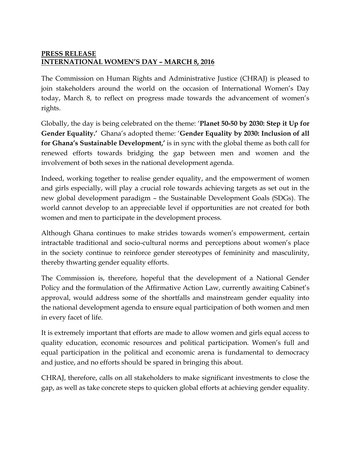## **PRESS RELEASE INTERNATIONAL WOMEN'S DAY – MARCH 8, 2016**

The Commission on Human Rights and Administrative Justice (CHRAJ) is pleased to join stakeholders around the world on the occasion of International Women's Day today, March 8, to reflect on progress made towards the advancement of women's rights.

Globally, the day is being celebrated on the theme: '**Planet 50-50 by 2030: Step it Up for Gender Equality.'** Ghana's adopted theme: '**Gender Equality by 2030: Inclusion of all for Ghana's Sustainable Development,'** is in sync with the global theme as both call for renewed efforts towards bridging the gap between men and women and the involvement of both sexes in the national development agenda.

Indeed, working together to realise gender equality, and the empowerment of women and girls especially, will play a crucial role towards achieving targets as set out in the new global development paradigm – the Sustainable Development Goals (SDGs). The world cannot develop to an appreciable level if opportunities are not created for both women and men to participate in the development process.

Although Ghana continues to make strides towards women's empowerment, certain intractable traditional and socio-cultural norms and perceptions about women's place in the society continue to reinforce gender stereotypes of femininity and masculinity, thereby thwarting gender equality efforts.

The Commission is, therefore, hopeful that the development of a National Gender Policy and the formulation of the Affirmative Action Law, currently awaiting Cabinet's approval, would address some of the shortfalls and mainstream gender equality into the national development agenda to ensure equal participation of both women and men in every facet of life.

It is extremely important that efforts are made to allow women and girls equal access to quality education, economic resources and political participation. Women's full and equal participation in the political and economic arena is fundamental to democracy and justice, and no efforts should be spared in bringing this about.

CHRAJ, therefore, calls on all stakeholders to make significant investments to close the gap, as well as take concrete steps to quicken global efforts at achieving gender equality.